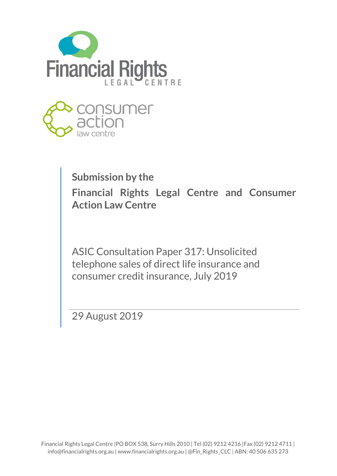



# **Submission by the**

**Financial Rights Legal Centre and Consumer Action Law Centre**

ASIC Consultation Paper 317: Unsolicited telephone sales of direct life insurance and consumer credit insurance, July 2019

29 August 2019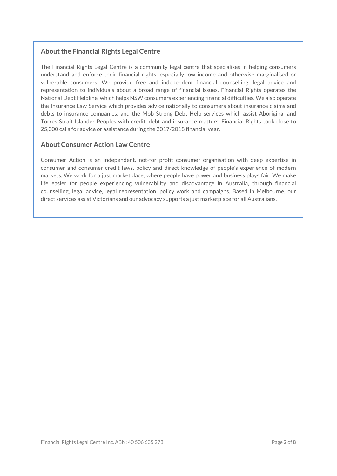## **Aboutthe Financial Rights Legal Centre**

The Financial Rights Legal Centre is a community legal centre that specialises in helping consumers understand and enforce their financial rights, especially low income and otherwise marginalised or vulnerable consumers. We provide free and independent financial counselling, legal advice and representation to individuals about a broad range of financial issues. Financial Rights operates the National Debt Helpline, which helps NSW consumers experiencing financial difficulties. We also operate the Insurance Law Service which provides advice nationally to consumers about insurance claims and debts to insurance companies, and the Mob Strong Debt Help services which assist Aboriginal and Torres Strait Islander Peoples with credit, debt and insurance matters. Financial Rights took close to 25,000 calls for advice or assistance during the 2017/2018 financial year.

#### **About Consumer Action Law Centre**

Consumer Action is an independent, not-for profit consumer organisation with deep expertise in consumer and consumer credit laws, policy and direct knowledge of people's experience of modern markets. We work for a just marketplace, where people have power and business plays fair. We make life easier for people experiencing vulnerability and disadvantage in Australia, through financial counselling, legal advice, legal representation, policy work and campaigns. Based in Melbourne, our direct services assist Victorians and our advocacy supports a just marketplace for all Australians.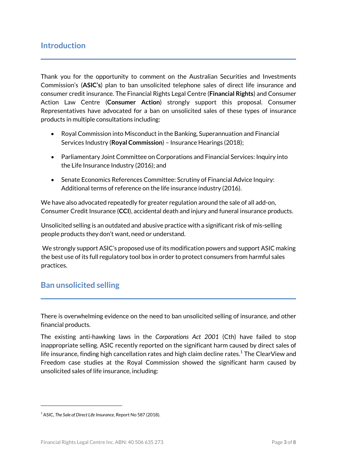Thank you for the opportunity to comment on the Australian Securities and Investments Commission's (**ASIC's**) plan to ban unsolicited telephone sales of direct life insurance and consumer credit insurance. The Financial Rights Legal Centre (**Financial Rights**) and Consumer Action Law Centre (**Consumer Action**) strongly support this proposal. Consumer Representatives have advocated for a ban on unsolicited sales of these types of insurance products in multiple consultations including:

- Royal Commission into Misconductin the Banking, Superannuation and Financial Services Industry (**Royal Commission**) – Insurance Hearings (2018);
- Parliamentary Joint Committee on Corporations and Financial Services: Inquiry into the Life Insurance Industry (2016); and
- Senate Economics References Committee: Scrutiny of Financial Advice Inquiry: Additional terms of reference on the life insurance industry (2016).

We have also advocated repeatedly for greater regulation around the sale of all add-on, Consumer Credit Insurance (**CCI**), accidental death and injury and funeral insurance products.

Unsolicited selling is an outdated and abusive practice with a significant risk of mis-selling people products they don't want, need or understand.

We strongly support ASIC's proposed use of its modification powers and support ASIC making the best use of its full regulatory tool box in order to protect consumers from harmful sales practices.

# **Ban unsolicited selling**

There is overwhelming evidence on the need to ban unsolicited selling of insurance, and other financial products.

The existing anti-hawking laws in the *Corporations Act 2001* (Cth) have failed to stop inappropriate selling. ASIC recently reported on the significant harm caused by direct sales of life insurance, finding high cancellation rates and high claim decline rates.<sup>[1](#page-2-0)</sup> The ClearView and Freedom case studies at the Royal Commission showed the significant harm caused by unsolicited sales of life insurance, including:

.

<span id="page-2-0"></span><sup>1</sup> ASIC, *The Sale of Direct Life Insurance,* Report No 587 (2018).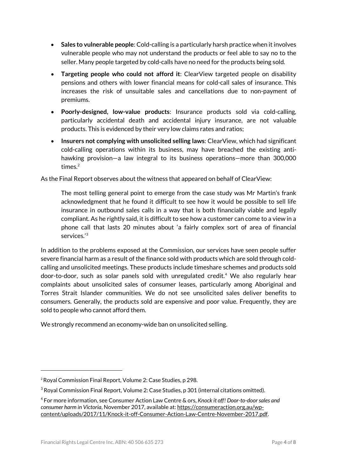- **Sales to vulnerable people**: Cold-calling is a particularly harsh practice when it involves vulnerable people who may not understand the products or feel able to say no to the seller. Many people targeted by cold-calls have no need for the products being sold.
- **Targeting people who could not afford it**: ClearView targeted people on disability pensions and others with lower financial means for cold-call sales of insurance. This increases the risk of unsuitable sales and cancellations due to non-payment of premiums.
- **Poorly-designed, low-value products**: Insurance products sold via cold-calling, particularly accidental death and accidental injury insurance, are not valuable products. This is evidenced by their very low claims rates and ratios;
- **Insurers not complying with unsolicited selling laws**: ClearView, which had significant cold-calling operations within its business, may have breached the existing antihawking provision—a law integral to its business operations—more than 300,000 times. $2$

As the Final Report observes about the witness that appeared on behalf of ClearView:

The most telling general point to emerge from the case study was Mr Martin's frank acknowledgment that he found it difficult to see how it would be possible to sell life insurance in outbound sales calls in a way that is both financially viable and legally compliant. As he rightly said, it is difficult to see how a customer can come to a view in a phone call that lasts 20 minutes about 'a fairly complex sort of area of financial services.' [3](#page-3-1)

In addition to the problems exposed at the Commission, our services have seen people suffer severe financial harm as a result of the finance sold with products which are sold through coldcalling and unsolicited meetings. These products include timeshare schemes and products sold door-to-door, such as solar panels sold with unregulated credit.[4](#page-3-2) We also regularly hear complaints about unsolicited sales of consumer leases, particularly among Aboriginal and Torres Strait Islander communities. We do not see unsolicited sales deliver benefits to consumers. Generally, the products sold are expensive and poor value. Frequently, they are sold to people who cannot afford them.

We strongly recommend an economy-wide ban on unsolicited selling.

1

<span id="page-3-0"></span><sup>&</sup>lt;sup>2</sup> Royal Commission Final Report, Volume 2: Case Studies, p 298.

<span id="page-3-1"></span><sup>&</sup>lt;sup>3</sup> Royal Commission Final Report, Volume 2: Case Studies, p 301 (internal citations omitted).

<span id="page-3-2"></span><sup>4</sup> For more information, see Consumer Action Law Centre & ors, *Knock it off! Door-to-doorsales and consumer harm in Victoria*, November 2017, available at: [https://consumeraction.org.au/wp](https://consumeraction.org.au/wp-content/uploads/2017/11/Knock-it-off-Consumer-Action-Law-Centre-November-2017.pdf)[content/uploads/2017/11/Knock-it-off-Consumer-Action-Law-Centre-November-2017.pdf.](https://consumeraction.org.au/wp-content/uploads/2017/11/Knock-it-off-Consumer-Action-Law-Centre-November-2017.pdf)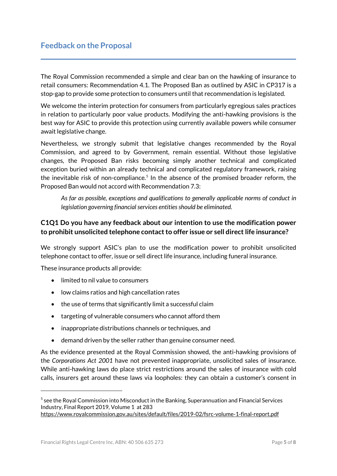# **Feedback on the Proposal**

The Royal Commission recommended a simple and clear ban on the hawking of insurance to retail consumers: Recommendation 4.1. The Proposed Ban as outlined by ASIC in CP317 is a stop-gap to provide some protection to consumers until that recommendation is legislated.

We welcome the interim protection for consumers from particularly egregious sales practices in relation to particularly poor value products. Modifying the anti-hawking provisions is the best way for ASIC to provide this protection using currently available powers while consumer await legislative change.

Nevertheless, we strongly submit that legislative changes recommended by the Royal Commission, and agreed to by Government, remain essential. Without those legislative changes, the Proposed Ban risks becoming simply another technical and complicated exception buried within an already technical and complicated regulatory framework, raising the inevitable risk of non-compliance. [5](#page-4-0) In the absence of the promised broader reform, the Proposed Ban would not accord with Recommendation 7.3:

*As far as possible, exceptions and qualifications to generally applicable norms of conduct in legislation governing financial services entities should be eliminated.*

### **C1Q1 Do you have any feedback about our intention to use the modification power to prohibit unsolicited telephone contact to offer issue or sell direct life insurance?**

We strongly support ASIC's plan to use the modification power to prohibit unsolicited telephone contact to offer, issue or sell direct life insurance, including funeral insurance.

These insurance products all provide:

- limited to nil value to consumers
- low claims ratios and high cancellation rates
- the use of terms that significantly limit a successful claim
- targeting of vulnerable consumers who cannot afford them
- inappropriate distributions channels or techniques, and
- demand driven by the seller rather than genuine consumer need.

As the evidence presented at the Royal Commission showed, the anti-hawking provisions of the *Corporations Act 2001* have not prevented inappropriate, unsolicited sales of insurance. While anti-hawking laws do place strict restrictions around the sales of insurance with cold calls, insurers get around these laws via loopholes: they can obtain a customer's consent in

1

<span id="page-4-0"></span><sup>&</sup>lt;sup>5</sup> see the Royal Commission into Misconduct in the Banking, Superannuation and Financial Services Industry, Final Report 2019, Volume 1 at 283

<https://www.royalcommission.gov.au/sites/default/files/2019-02/fsrc-volume-1-final-report.pdf>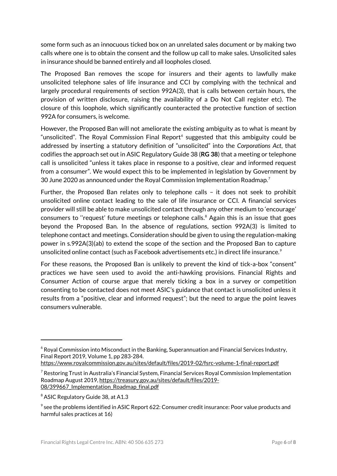some form such as an innocuous ticked box on an unrelated sales document or by making two calls where one is to obtain the consent and the follow up call to make sales. Unsolicited sales in insurance should be banned entirely and all loopholes closed.

The Proposed Ban removes the scope for insurers and their agents to lawfully make unsolicited telephone sales of life insurance and CCI by complying with the technical and largely procedural requirements of section 992A(3), that is calls between certain hours, the provision of written disclosure, raising the availability of a Do Not Call register etc). The closure of this loophole, which significantly counteracted the protective function of section 992A for consumers, is welcome.

However, the Proposed Ban will not ameliorate the existing ambiguity as to what is meant by "unsolicited". The Royal Commission Final Report<sup>[6](#page-5-0)</sup> suggested that this ambiguity could be addressed by inserting a statutory definition of "unsolicited" into the *Corporations Act*, that codifies the approach set out in ASIC Regulatory Guide 38 (**RG 38**) that a meeting or telephone call is unsolicited "unless it takes place in response to a positive, clear and informed request from a consumer". We would expect this to be implemented in legislation by Government by 30 June 2020 as announced under the Royal Commission Implementation Roadmap.[7](#page-5-1) Ĭ.

Further, the Proposed Ban relates only to telephone calls – it does not seek to prohibit unsolicited online contact leading to the sale of life insurance or CCI. A financial services provider will still be able to make unsolicited contact through any other medium to 'encourage' consumers to ''request' future meetings or telephone calls. [8](#page-5-2) Again this is an issue that goes beyond the Proposed Ban. In the absence of regulations, section 992A(3) is limited to telephone contact and meetings. Consideration should be given to using the regulation-making power in s.992A(3)(ab) to extend the scope of the section and the Proposed Ban to capture unsolicited online contact (such as Facebook advertisements etc.) in direct life insurance.<sup>[9](#page-5-3)</sup>

For these reasons, the Proposed Ban is unlikely to prevent the kind of tick-a-box "consent" practices we have seen used to avoid the anti-hawking provisions. Financial Rights and Consumer Action of course argue that merely ticking a box in a survey or competition consenting to be contacted does not meet ASIC's guidance that contact is unsolicited unless it results from a "positive, clear and informed request"; but the need to argue the point leaves consumers vulnerable.

1

<span id="page-5-0"></span> $6$  Royal Commission into Misconduct in the Banking, Superannuation and Financial Services Industry, Final Report 2019, Volume 1, pp 283-284.

<https://www.royalcommission.gov.au/sites/default/files/2019-02/fsrc-volume-1-final-report.pdf>

<span id="page-5-1"></span> $\textsuperscript{7}$  Restoring Trust in Australia's Financial System, Financial Services Royal Commission Implementation Roadmap August 2019, [https://treasury.gov.au/sites/default/files/2019-](https://treasury.gov.au/sites/default/files/2019-08/399667_Implementation_Roadmap_final.pdf) [08/399667\\_Implementation\\_Roadmap\\_final.pdf](https://treasury.gov.au/sites/default/files/2019-08/399667_Implementation_Roadmap_final.pdf)

<span id="page-5-2"></span><sup>&</sup>lt;sup>8</sup> ASIC Regulatory Guide 38, at A1.3

<span id="page-5-3"></span> $9$  see the problems identified in ASIC Report 622: Consumer credit insurance: Poor value products and harmful sales practices at 16)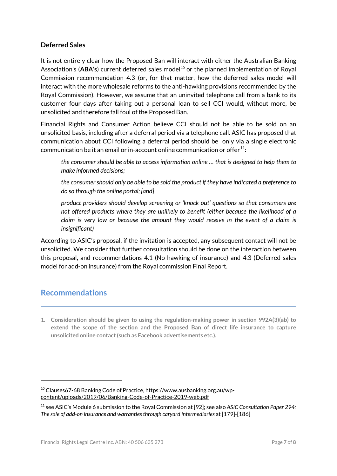#### **Deferred Sales**

It is not entirely clear how the Proposed Ban will interact with either the Australian Banking Association's (ABA's) current deferred sales model<sup>[10](#page-6-0)</sup> or the planned implementation of Royal Commission recommendation 4.3 (or, for that matter, how the deferred sales model will interact with the more wholesale reforms to the anti-hawking provisions recommended by the Royal Commission). However, we assume that an uninvited telephone call from a bank to its customer four days after taking out a personal loan to sell CCI would, without more, be unsolicited and therefore fall foul of the Proposed Ban.

Financial Rights and Consumer Action believe CCI should not be able to be sold on an unsolicited basis, including after a deferral period via a telephone call. ASIC has proposed that communication about CCI following a deferral period should be only via a single electronic communication be it an email or in-account online communication or offer<sup>11</sup>:

*the consumer should be able to access information online … that is designed to help them to make informed decisions;* 

*the consumer should only be able to be sold the product if they have indicated a preference to do so through the online portal; [and]*

*product providers should develop screening or 'knock out' questions so that consumers are not offered products where they are unlikely to benefit (either because the likelihood of a claim is very low or because the amount they would receive in the event of a claim is insignificant)*

According to ASIC's proposal, if the invitation is accepted, any subsequent contact will not be unsolicited. We consider that further consultation should be done on the interaction between this proposal, and recommendations 4.1 (No hawking of insurance) and 4.3 (Deferred sales model for add-on insurance) from the Royal commission Final Report.

# **Recommendations**

1

**1. Consideration should be given to using the regulation-making power in section 992A(3)(ab) to extend the scope of the section and the Proposed Ban of direct life insurance to capture unsolicited online contact(such as Facebook advertisements etc.).**

<span id="page-6-0"></span><sup>&</sup>lt;sup>10</sup> Clauses67-68 Banking Code of Practice, [https://www.ausbanking.org.au/wp](https://www.ausbanking.org.au/wp-content/uploads/2019/06/Banking-Code-of-Practice-2019-web.pdf)[content/uploads/2019/06/Banking-Code-of-Practice-2019-web.pdf](https://www.ausbanking.org.au/wp-content/uploads/2019/06/Banking-Code-of-Practice-2019-web.pdf)

<span id="page-6-1"></span><sup>11</sup> see ASIC's Module 6 submission to the Royal Commission at [92]; see also *ASIC Consultation Paper 294: The sale of add-on insurance and warranties through caryard intermediaries* at [179]-[186]